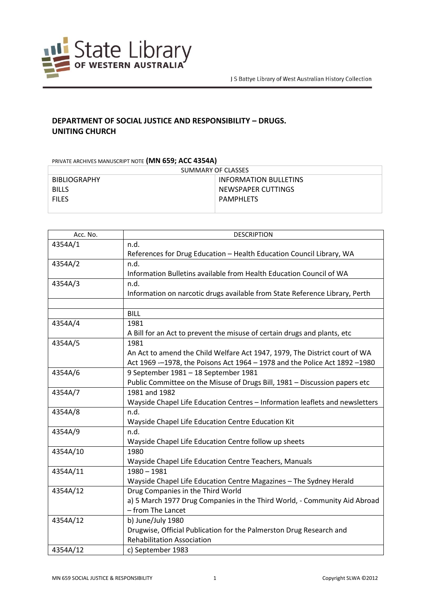

## **DEPARTMENT OF SOCIAL JUSTICE AND RESPONSIBILITY – DRUGS. UNITING CHURCH**

PRIVATE ARCHIVES MANUSCRIPT NOTE **(MN 659; ACC 4354A)**

| SUMMARY OF CLASSES  |                              |  |
|---------------------|------------------------------|--|
| <b>BIBLIOGRAPHY</b> | <b>INFORMATION BULLETINS</b> |  |
| <b>BILLS</b>        | NEWSPAPER CUTTINGS           |  |
| <b>FILES</b>        | <b>PAMPHLFTS</b>             |  |
|                     |                              |  |

| Acc. No. | <b>DESCRIPTION</b>                                                           |
|----------|------------------------------------------------------------------------------|
| 4354A/1  | n.d.                                                                         |
|          | References for Drug Education - Health Education Council Library, WA         |
| 4354A/2  | n.d.                                                                         |
|          | Information Bulletins available from Health Education Council of WA          |
| 4354A/3  | n.d.                                                                         |
|          | Information on narcotic drugs available from State Reference Library, Perth  |
|          |                                                                              |
|          | <b>BILL</b>                                                                  |
| 4354A/4  | 1981                                                                         |
|          | A Bill for an Act to prevent the misuse of certain drugs and plants, etc     |
| 4354A/5  | 1981                                                                         |
|          | An Act to amend the Child Welfare Act 1947, 1979, The District court of WA   |
|          | Act 1969 - 1978, the Poisons Act 1964 - 1978 and the Police Act 1892 - 1980  |
| 4354A/6  | 9 September 1981 - 18 September 1981                                         |
|          | Public Committee on the Misuse of Drugs Bill, 1981 - Discussion papers etc   |
| 4354A/7  | 1981 and 1982                                                                |
|          | Wayside Chapel Life Education Centres - Information leaflets and newsletters |
| 4354A/8  | n.d.                                                                         |
|          | Wayside Chapel Life Education Centre Education Kit                           |
| 4354A/9  | n.d.                                                                         |
|          | Wayside Chapel Life Education Centre follow up sheets                        |
| 4354A/10 | 1980                                                                         |
|          | Wayside Chapel Life Education Centre Teachers, Manuals                       |
| 4354A/11 | $1980 - 1981$                                                                |
|          | Wayside Chapel Life Education Centre Magazines - The Sydney Herald           |
| 4354A/12 | Drug Companies in the Third World                                            |
|          | a) 5 March 1977 Drug Companies in the Third World, - Community Aid Abroad    |
|          | - from The Lancet                                                            |
| 4354A/12 | b) June/July 1980                                                            |
|          | Drugwise, Official Publication for the Palmerston Drug Research and          |
|          | <b>Rehabilitation Association</b>                                            |
| 4354A/12 | c) September 1983                                                            |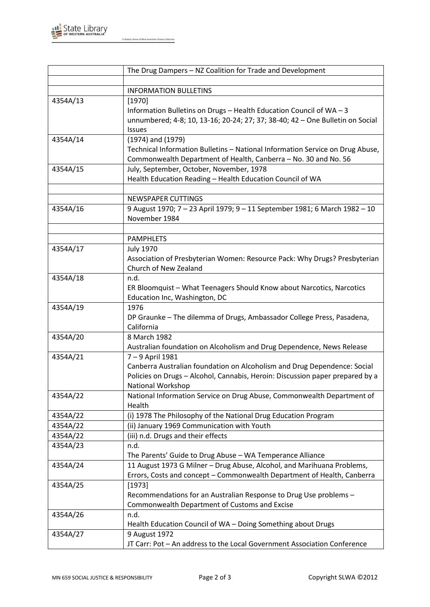

|          | The Drug Dampers - NZ Coalition for Trade and Development                     |
|----------|-------------------------------------------------------------------------------|
|          |                                                                               |
|          | <b>INFORMATION BULLETINS</b>                                                  |
| 4354A/13 | [1970]                                                                        |
|          | Information Bulletins on Drugs - Health Education Council of WA - 3           |
|          | unnumbered; 4-8; 10, 13-16; 20-24; 27; 37; 38-40; 42 - One Bulletin on Social |
|          | Issues                                                                        |
| 4354A/14 | $(1974)$ and $(1979)$                                                         |
|          | Technical Information Bulletins - National Information Service on Drug Abuse, |
|          | Commonwealth Department of Health, Canberra - No. 30 and No. 56               |
| 4354A/15 | July, September, October, November, 1978                                      |
|          | Health Education Reading - Health Education Council of WA                     |
|          |                                                                               |
|          | <b>NEWSPAPER CUTTINGS</b>                                                     |
| 4354A/16 | 9 August 1970; 7 - 23 April 1979; 9 - 11 September 1981; 6 March 1982 - 10    |
|          | November 1984                                                                 |
|          | <b>PAMPHLETS</b>                                                              |
| 4354A/17 | <b>July 1970</b>                                                              |
|          | Association of Presbyterian Women: Resource Pack: Why Drugs? Presbyterian     |
|          | Church of New Zealand                                                         |
| 4354A/18 | n.d.                                                                          |
|          | ER Bloomquist - What Teenagers Should Know about Narcotics, Narcotics         |
|          | Education Inc, Washington, DC                                                 |
| 4354A/19 | 1976                                                                          |
|          | DP Graunke - The dilemma of Drugs, Ambassador College Press, Pasadena,        |
|          | California                                                                    |
| 4354A/20 | 8 March 1982                                                                  |
|          | Australian foundation on Alcoholism and Drug Dependence, News Release         |
| 4354A/21 | 7-9 April 1981                                                                |
|          | Canberra Australian foundation on Alcoholism and Drug Dependence: Social      |
|          | Policies on Drugs - Alcohol, Cannabis, Heroin: Discussion paper prepared by a |
|          | National Workshop                                                             |
| 4354A/22 | National Information Service on Drug Abuse, Commonwealth Department of        |
|          | Health                                                                        |
| 4354A/22 | (i) 1978 The Philosophy of the National Drug Education Program                |
| 4354A/22 | (ii) January 1969 Communication with Youth                                    |
| 4354A/22 | (iii) n.d. Drugs and their effects                                            |
| 4354A/23 | n.d.                                                                          |
|          | The Parents' Guide to Drug Abuse - WA Temperance Alliance                     |
| 4354A/24 | 11 August 1973 G Milner - Drug Abuse, Alcohol, and Marihuana Problems,        |
|          | Errors, Costs and concept - Commonwealth Department of Health, Canberra       |
| 4354A/25 | [1973]                                                                        |
|          | Recommendations for an Australian Response to Drug Use problems -             |
|          | Commonwealth Department of Customs and Excise                                 |
| 4354A/26 | n.d.                                                                          |
|          | Health Education Council of WA - Doing Something about Drugs                  |
| 4354A/27 | 9 August 1972                                                                 |
|          | JT Carr: Pot - An address to the Local Government Association Conference      |